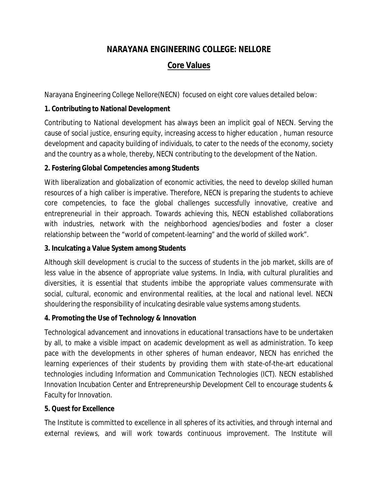## **NARAYANA ENGINEERING COLLEGE: NELLORE**

# **Core Values**

Narayana Engineering College Nellore(NECN) focused on eight core values detailed below:

## **1. Contributing to National Development**

Contributing to National development has always been an implicit goal of NECN. Serving the cause of social justice, ensuring equity, increasing access to higher education , human resource development and capacity building of individuals, to cater to the needs of the economy, society and the country as a whole, thereby, NECN contributing to the development of the Nation.

## **2. Fostering Global Competencies among Students**

With liberalization and globalization of economic activities, the need to develop skilled human resources of a high caliber is imperative. Therefore, NECN is preparing the students to achieve core competencies, to face the global challenges successfully innovative, creative and entrepreneurial in their approach. Towards achieving this, NECN established collaborations with industries, network with the neighborhood agencies/bodies and foster a closer relationship between the "world of competent-learning" and the world of skilled work".

## **3. Inculcating a Value System among Students**

Although skill development is crucial to the success of students in the job market, skills are of less value in the absence of appropriate value systems. In India, with cultural pluralities and diversities, it is essential that students imbibe the appropriate values commensurate with social, cultural, economic and environmental realities, at the local and national level. NECN shouldering the responsibility of inculcating desirable value systems among students.

## **4. Promoting the Use of Technology & Innovation**

Technological advancement and innovations in educational transactions have to be undertaken by all, to make a visible impact on academic development as well as administration. To keep pace with the developments in other spheres of human endeavor, NECN has enriched the learning experiences of their students by providing them with state-of-the-art educational technologies including Information and Communication Technologies (ICT). NECN established Innovation Incubation Center and Entrepreneurship Development Cell to encourage students & Faculty for Innovation.

#### **5. Quest for Excellence**

The Institute is committed to excellence in all spheres of its activities, and through internal and external reviews, and will work towards continuous improvement. The Institute will